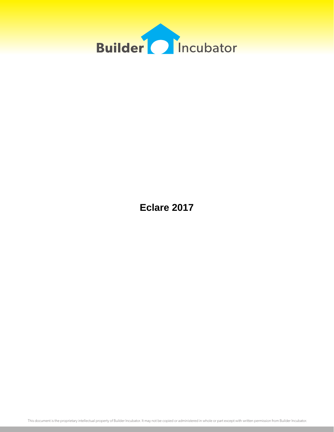

**Eclare 2017**

This document is the proprietary intellectual property of Builder Incubator. It may not be copied or administered in whole or part except with written permission from Builder Incubator.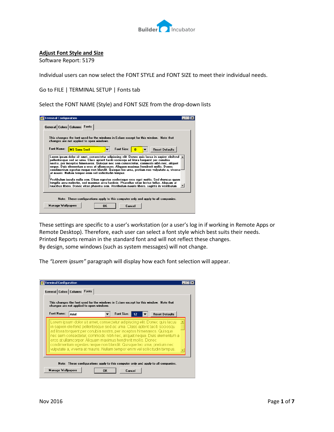

### **Adjust Font Style and Size**

Software Report: 5179

Individual users can now select the FONT STYLE and FONT SIZE to meet their individual needs.

Go to FILE | TERMINAL SETUP | Fonts tab

Select the FONT NAME (Style) and FONT SIZE from the drop-down lists

| <b>Terminal Configuration</b><br>General Colors Columns Fonts                                                                                                                                                                                                                                                                                                                                                                                                                                                                    |  |
|----------------------------------------------------------------------------------------------------------------------------------------------------------------------------------------------------------------------------------------------------------------------------------------------------------------------------------------------------------------------------------------------------------------------------------------------------------------------------------------------------------------------------------|--|
| This changes the font used for the windows in Eclare except for this window. Note that<br>changes are not applied to open windows.                                                                                                                                                                                                                                                                                                                                                                                               |  |
| Font Name:<br>Font Size:<br><b>MS Sans Serif</b><br><b>Reset Defaults</b>                                                                                                                                                                                                                                                                                                                                                                                                                                                        |  |
| Lorem ipsum dolor sit amet, consectetur adipiscing elit. Donec quis lacus in sapien eleifend p<br>pellentesque sed ac urna. Class aptent taciti sociosqu ad litora torquent per conubia<br>nostra, per inceptos himenaeos. Quisque nec sem consectetur, commodo nibh nec, aliquet<br>neque. Duis elementum a eros at ullamcorper. Aliguam maximus hendrerit mollis. Donec<br>condimentum egestas neque non blandit. Quisque leo urna, pretium nec vulputate a, viverra<br>at mauris. Nullam tempor enim vel sollicitudin tempus. |  |
| Vestibulum iaculis nulla sem. Etiam egestas scelerisque eros eget mattis. Sed rhoncus quami<br>fringilla arcu molestie, sed maximus arcu facilisis. Phasellus vitae lectus tellus. Aliguam ut<br>faucibus libero. Donec vitae pharetra sem. Vestibulum mauris libero, sagittis in vestibulum                                                                                                                                                                                                                                     |  |
| Note: These configurations apply to this computer only and apply to all companies.                                                                                                                                                                                                                                                                                                                                                                                                                                               |  |
| <b>Manage Wallpapers</b><br>OK<br>Cancel                                                                                                                                                                                                                                                                                                                                                                                                                                                                                         |  |

These settings are specific to a user's workstation (or a user's log in if working in Remote Apps or Remote Desktop). Therefore, each user can select a font style which best suits their needs. Printed Reports remain in the standard font and will not reflect these changes. By design, some windows (such as system messages) will not change.

The *"Lorem ipsum"* paragraph will display how each font selection will appear.

| <b>Font Name:</b> | Arial | Font Size:                                                                                                                                                                                                                                                                                                                                                                                                                                                                                                                         | 12<br>$\overline{\phantom{0}}$ | <b>Reset Defaults</b> |
|-------------------|-------|------------------------------------------------------------------------------------------------------------------------------------------------------------------------------------------------------------------------------------------------------------------------------------------------------------------------------------------------------------------------------------------------------------------------------------------------------------------------------------------------------------------------------------|--------------------------------|-----------------------|
|                   |       | Lorem ipsum dolor sit amet, consectetur adipiscing elit. Donec quis lacus<br>in sapien eleifend pellentesque sed ac urna. Class aptent taciti sociosqu<br>ad litora torquent per conubia nostra, per inceptos himenaeos. Quisque<br>nec sem consectetur, commodo nibh nec, aliquet neque. Duis elementum a<br>eros at ullamcorper. Aliguam maximus hendrerit mollis. Donec<br>condimentum egestas neque non blandit. Quisque leo urna, pretium nec-<br>vulputate a, viverra at mauris. Nullam tempor enim vel sollicitudin tempus. |                                |                       |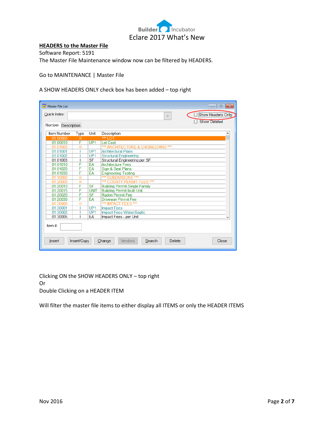

## **HEADERS to the Master File**

Software Report: 5191 The Master File Maintenance window now can be filtered by HEADERS.

#### Go to MAINTENANCE | Master File

A SHOW HEADERS ONLY check box has been added – top right

| Quick Index:       |             |                 | Show Headers Only<br>$\checkmark$<br><b>Show Deleted</b>     |  |  |  |  |
|--------------------|-------------|-----------------|--------------------------------------------------------------|--|--|--|--|
| Number Description |             |                 |                                                              |  |  |  |  |
| <b>Item Number</b> | <b>Type</b> | Unit            | <b>Description</b>                                           |  |  |  |  |
| 01.00000           | н           |                 | $***1$ OT                                                    |  |  |  |  |
| 01.00010           | F           | UP <sub>1</sub> | Lot Cost                                                     |  |  |  |  |
| 01.01000           | н           |                 | *** ARCHITECTURE & ENGINEERING ***                           |  |  |  |  |
| 01.01001           |             | UP1             | <b>Architectural Plans</b>                                   |  |  |  |  |
| 01.01002           |             | UP <sub>1</sub> | <b>Structural Engineering</b>                                |  |  |  |  |
| 01.01003           |             | <b>SF</b>       | Structural Engineering per SF                                |  |  |  |  |
| 01.01010           | F           | EA              | <b>Architecture Fees</b>                                     |  |  |  |  |
| 01.01020           | F           | EA              | Sign & Seal Plans                                            |  |  |  |  |
| 01.01030           | F           | EA              | <b>Engineering Testing</b>                                   |  |  |  |  |
| 01.10000           | H           |                 | *** SUBDIVISIONS ***                                         |  |  |  |  |
| 01.20000           | Ĥ           |                 | *** COUNTY PERMIT FEES ***                                   |  |  |  |  |
| 01.20010           | F           | <b>SF</b>       | <b>Building Permit-Single Family</b>                         |  |  |  |  |
| 01.20015           | F           | <b>UNIT</b>     | <b>Building Permit Multi Unit</b>                            |  |  |  |  |
| 01.20020           | F           | <b>SF</b>       | <b>Radon Permit Fee</b>                                      |  |  |  |  |
| 01.20030           | F           | EA              | <b>Driveway Permit Fee</b>                                   |  |  |  |  |
| 01.30000           | Ĥ           |                 | *** IMPACT FEES ***                                          |  |  |  |  |
| 01.30001           |             | UP <sub>1</sub> | <b>Impact Fees</b>                                           |  |  |  |  |
| 01.30002           |             | UP <sub>1</sub> | Impact Fees-Water/Septic                                     |  |  |  |  |
| 01.30005           |             | EA              | Impact Fees - per Unit                                       |  |  |  |  |
| Item #             |             |                 |                                                              |  |  |  |  |
| Insert             | Insert/Copy |                 | Change<br><b>Vendors</b><br>Search<br><b>Delete</b><br>Close |  |  |  |  |

Clicking ON the SHOW HEADERS ONLY – top right Or Double Clicking on a HEADER ITEM

Will filter the master file items to either display all ITEMS or only the HEADER ITEMS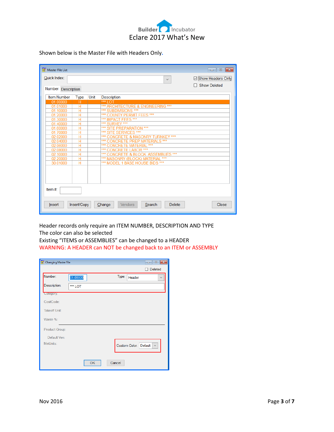

Shown below is the Master File with Headers Only**.**

| <b>In</b> <sup>N</sup> Master File List |                     |      |                                                          | $\mathbf{x}$<br>$\Box$<br>-- |
|-----------------------------------------|---------------------|------|----------------------------------------------------------|------------------------------|
| Quick Index:                            |                     |      | $\checkmark$                                             | ⊠ Show Headers Only          |
|                                         | $\Box$ Show Deleted |      |                                                          |                              |
| Number Description                      |                     |      |                                                          |                              |
| <b>Item Number</b>                      | <b>Type</b>         | Unit | <b>Description</b>                                       |                              |
| 01.00000                                | н                   |      | ***<br>OΤ                                                |                              |
| 01.01000                                | Н                   |      | *** ARCHITECTURE & ENGINEERING ***                       |                              |
| 01.10000                                | н                   |      | *** SUBDIVISIONS ***                                     |                              |
| 01.20000                                | н                   |      | *** COUNTY PERMIT FEES ***                               |                              |
| 01.30000                                | н                   |      | *** IMPACT FEES ***                                      |                              |
| 01.40000                                | H                   |      | *** SURVEY ***                                           |                              |
| 01.60000                                | н                   |      | E PREPARATION ***<br>***                                 |                              |
| 01.70000                                | н                   |      | *** SITE SERVICES ***                                    |                              |
| 02.02000                                | н                   |      | *** CONCRETE & MASONRY TURNKEY ***                       |                              |
| 02.04000                                | н                   |      | ***<br><b>CONCRETE PREP MATERIALS ***</b>                |                              |
| 02.06000                                | н                   |      | ***<br>*** CONCRETE MATERIAL                             |                              |
| 02.08000                                | н                   |      | ***<br><b>CONCRETE LABOR ***</b>                         |                              |
| 02.10000                                | Ĥ                   |      | <b>CONCRETE &amp; BLOCK ASSEMBLIES ***</b><br>***<br>*** |                              |
| 02.20000                                | н                   |      | *** MASONRY (BLOCK) MATERIAL                             |                              |
| 30.01000                                | н                   |      | *** MODEL 1 BASE HOUSE BIDS ***                          |                              |
|                                         |                     |      |                                                          |                              |
|                                         |                     |      |                                                          |                              |
|                                         |                     |      |                                                          |                              |
|                                         |                     |      |                                                          |                              |
| Item#:                                  |                     |      |                                                          |                              |
| <b>Insert</b>                           | Insert/Copy         |      | Change<br>Vendors<br>Search<br><b>Delete</b>             | Close                        |

Header records only require an ITEM NUMBER, DESCRIPTION AND TYPE The color can also be selected

Existing "ITEMS or ASSEMBLIES" can be changed to a HEADER WARNING: A HEADER can NOT be changed back to an ITEM or ASSEMBLY

| <b>Th</b> Changing Master File |          |                       | $\begin{array}{c c c c c c} \hline \multicolumn{3}{c }{\mathbf{C}} & \multicolumn{3}{c }{\mathbf{C}} & \multicolumn{3}{c }{\mathbf{X}} \end{array}$ |
|--------------------------------|----------|-----------------------|-----------------------------------------------------------------------------------------------------------------------------------------------------|
|                                |          |                       | <b>Deleted</b>                                                                                                                                      |
| Number:                        | 01.00000 | Type:<br>Header       | $\checkmark$                                                                                                                                        |
| Description:                   | *** LOT  |                       |                                                                                                                                                     |
| Category:                      |          |                       |                                                                                                                                                     |
| CostCode:                      |          |                       |                                                                                                                                                     |
| Takeoff Unit:                  |          |                       |                                                                                                                                                     |
| Waste %:                       |          |                       |                                                                                                                                                     |
| Product Group:                 |          |                       |                                                                                                                                                     |
| Default Ven:                   |          |                       |                                                                                                                                                     |
| MinUnits:                      |          | Custom Color: Default | $\checkmark$                                                                                                                                        |
|                                | OK       | Cancel                |                                                                                                                                                     |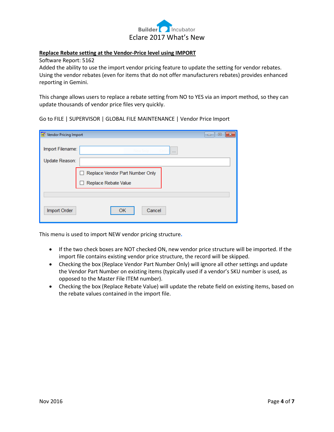

#### **Replace Rebate setting at the Vendor-Price level using IMPORT**

Software Report: 5162

Added the ability to use the import vendor pricing feature to update the setting for vendor rebates. Using the vendor rebates (even for items that do not offer manufacturers rebates) provides enhanced reporting in Gemini.

This change allows users to replace a rebate setting from NO to YES via an import method, so they can update thousands of vendor price files very quickly.

Go to FILE | SUPERVISOR | GLOBAL FILE MAINTENANCE | Vendor Price Import

| <b>Th</b> <sup>"</sup> Vendor Pricing Import | $\begin{array}{c c c c} \hline \multicolumn{3}{c }{\multicolumn{3}{c }{\mid}} & \multicolumn{3}{c }{\multicolumn{3}{c }{\mid}} \end{array}$<br>$\parallel x$ |
|----------------------------------------------|--------------------------------------------------------------------------------------------------------------------------------------------------------------|
| Import Filename:                             | New Snip<br>$\cdots$                                                                                                                                         |
| Update Reason:                               |                                                                                                                                                              |
|                                              | Replace Vendor Part Number Only<br>Replace Rebate Value                                                                                                      |
|                                              |                                                                                                                                                              |
| Import Order                                 | OK<br>Cancel                                                                                                                                                 |

This menu is used to import NEW vendor pricing structure**.**

- If the two check boxes are NOT checked ON, new vendor price structure will be imported. If the import file contains existing vendor price structure, the record will be skipped.
- Checking the box (Replace Vendor Part Number Only) will ignore all other settings and update the Vendor Part Number on existing items (typically used if a vendor's SKU number is used, as opposed to the Master File ITEM number).
- Checking the box (Replace Rebate Value) will update the rebate field on existing items, based on the rebate values contained in the import file.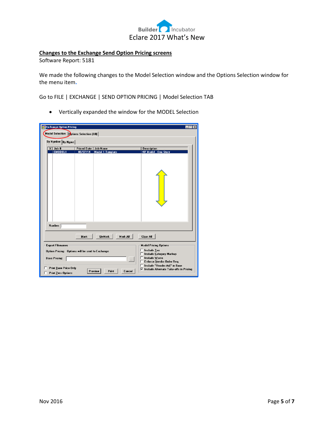

# **Changes to the Exchange Send Option Pricing screens**

Software Report: 5181

We made the following changes to the Model Selection window and the Options Selection window for the menu item**.**

Go to FILE | EXCHANGE | SEND OPTION PRICING | Model Selection TAB

Vertically expanded the window for the MODEL Selection

| <b>In Exchange Option Pricing</b>                                                                                                                               |                                |                                            | $- \Box$<br>$\times$                                                                                                                                                                                                                    |  |  |  |  |  |
|-----------------------------------------------------------------------------------------------------------------------------------------------------------------|--------------------------------|--------------------------------------------|-----------------------------------------------------------------------------------------------------------------------------------------------------------------------------------------------------------------------------------------|--|--|--|--|--|
| <b>Model Selection</b><br>Options Selection (All)                                                                                                               |                                |                                            |                                                                                                                                                                                                                                         |  |  |  |  |  |
|                                                                                                                                                                 |                                |                                            |                                                                                                                                                                                                                                         |  |  |  |  |  |
| By Number By Name                                                                                                                                               |                                |                                            |                                                                                                                                                                                                                                         |  |  |  |  |  |
| $X$ Job #<br><b>EMODEL1</b>                                                                                                                                     | <b>Priced Date</b><br>08/07/14 | <b>Job Name</b><br><b>Model 1-Template</b> | <b>Description</b><br>40' Model - One Story                                                                                                                                                                                             |  |  |  |  |  |
|                                                                                                                                                                 |                                |                                            |                                                                                                                                                                                                                                         |  |  |  |  |  |
| Number:                                                                                                                                                         |                                |                                            |                                                                                                                                                                                                                                         |  |  |  |  |  |
|                                                                                                                                                                 | Mark                           | UnMark<br>Mark All                         | <b>Clear All</b>                                                                                                                                                                                                                        |  |  |  |  |  |
| <b>Export Filenames</b><br>Option Pricing: Options will be sent to Exchange<br><b>Base Pricing:</b><br><b>Print Base Price Only</b><br>Print Zero Options<br>п. |                                | $\ddotsc$<br>Preview<br>Print<br>Cancel    | <b>Model Pricing Options</b><br><b>Include Tax</b><br>L.<br>Include Category Markup<br>Include Waste<br>Enforce Vendor Order Req.<br>┍<br>Include "Header Adj" in Base<br>г<br>$\overline{\vee}$ Include Alternate Take-offs in Pricing |  |  |  |  |  |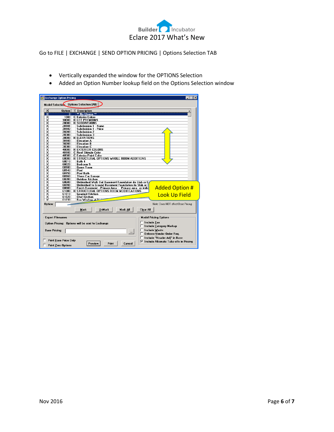

Go to FILE | EXCHANGE | SEND OPTION PRICING | Options Selection TAB

- Vertically expanded the window for the OPTIONS Selection
- Added an Option Number lookup field on the Options Selection window

| h Exchange Option Pricing                      |                                                                                  |
|------------------------------------------------|----------------------------------------------------------------------------------|
| <b>Model Selection Options Selection (All)</b> |                                                                                  |
| ×                                              | Option   T Description                                                           |
| ਂ×<br>Ö                                        | <b>** No Choice **</b>                                                           |
| ×<br>1000                                      | <b>C</b> Exterior Colors                                                         |
| $\overline{\mathsf{x}}$<br>10000               | H LOT PREMIUMS                                                                   |
| X<br>20000                                     | <b>H</b> SUBDIVISIONS                                                            |
| $\overline{\mathsf{x}}$<br>20101               | <b>Subdivision 1 - Name</b>                                                      |
| $\overline{\mathsf{x}}$<br>20102               | <b>Subdivision 1 - Price</b>                                                     |
| $\overline{\mathsf{x}}$<br>20200               | <b>Subdivision 2</b>                                                             |
| ×<br>20300                                     | <b>Subdivision 3</b>                                                             |
| ×<br>30000                                     | <b>H</b> ELEVATIONS                                                              |
| X<br>30100                                     | <b>Elevation A</b>                                                               |
| X<br>30200                                     | <b>Elevation B</b>                                                               |
| $\overline{\mathsf{x}}$<br>30300               | <b>Elevation C</b>                                                               |
| $\overline{\mathsf{x}}$<br>40000               | <b>H</b> EXTERIOR COLORS                                                         |
| X<br>40100                                     | <b>C</b> Roof Shingle Color                                                      |
| ×<br>40500                                     | <b>C</b> Exterior Paint Color                                                    |
| ×<br>60000                                     | H STRUCTURAL OPTIONS WHOLE ROOM ADDITIONS                                        |
| X<br>60010                                     | Bath 4                                                                           |
| $\overline{\mathsf{x}}$<br>60020               | <b>Bedroom</b> 5                                                                 |
| $\overline{\mathsf{x}}$<br>60100               | Game Room                                                                        |
| $\overline{\mathsf{x}}$<br>60140               | Pool                                                                             |
| ×<br>60150                                     | Pool Bath                                                                        |
| X<br>60160                                     | Three Car Garage                                                                 |
| $\overline{\mathsf{x}}$<br>60200               | <b>Nutdoor Kitchen</b>                                                           |
| X<br>60600                                     | Unfinished Walk Out Basement Foundation ilo Slab or Cr                           |
| ×<br>60700                                     | Unfinished In Ground Basement Foundation ilo Slab or O                           |
| $\overline{\mathsf{x}}$<br>60800               | <b>Added Option #</b><br>Finish Basement - Primary Area :: Primary area as indic |
| $\times$<br>61000                              | H STRUCTURAL OPTIONS ROOM MODIFICATIONS                                          |
| $\overline{\mathsf{x}}$<br>61010               | <b>Gourmet Kitchen</b><br><b>Look Up Field</b>                                   |
| ×<br>61020                                     | <b>Chef Kitchen</b>                                                              |
| v<br>61030                                     | <b>Bau Window at Di</b>                                                          |
| Option:                                        | Note: Does NOT affect Base Pricing                                               |
|                                                | UnMark<br>Mark All<br>Mark<br>Clear All                                          |
| <b>Export Filenames</b>                        | <b>Model Pricing Options</b>                                                     |
|                                                |                                                                                  |
|                                                | <b>Include Tax</b><br>Option Pricing: Options will be sent to Exchange           |
|                                                | <b>Include Category Markup</b>                                                   |
| <b>Base Pricing:</b>                           | Include Waste                                                                    |
|                                                | $\ddots$<br>Enforce Vendor Order Req.                                            |
|                                                |                                                                                  |
|                                                | Include "Header Adj" in Base                                                     |
| <b>Print Base Price Only</b>                   | $\overline{\vee}$ Include Alternate Take-offs in Pricing                         |
| <b>Print Zero Options</b>                      | Print<br>Preview<br>Cancel                                                       |